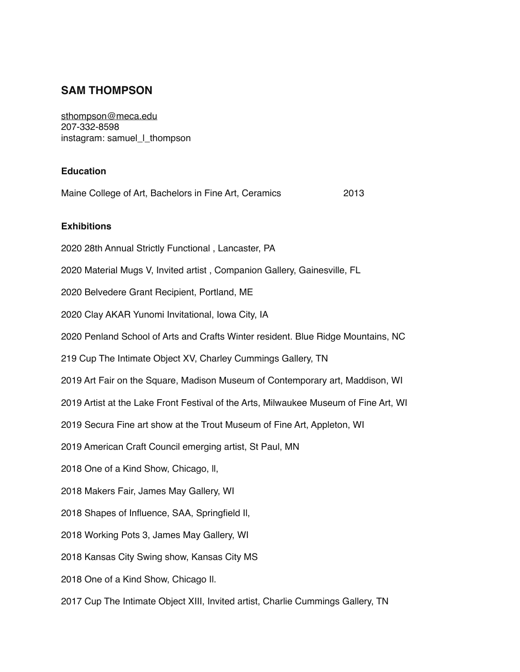# **SAM THOMPSON**

[sthompson@meca.edu](mailto:sthompson@meca.edu) 207-332-8598 instagram: samuel\_l\_thompson

### **Education**

| Maine College of Art, Bachelors in Fine Art, Ceramics                                | 2013 |
|--------------------------------------------------------------------------------------|------|
| <b>Exhibitions</b>                                                                   |      |
| 2020 28th Annual Strictly Functional, Lancaster, PA                                  |      |
| 2020 Material Mugs V, Invited artist, Companion Gallery, Gainesville, FL             |      |
| 2020 Belvedere Grant Recipient, Portland, ME                                         |      |
| 2020 Clay AKAR Yunomi Invitational, Iowa City, IA                                    |      |
| 2020 Penland School of Arts and Crafts Winter resident. Blue Ridge Mountains, NC     |      |
| 219 Cup The Intimate Object XV, Charley Cummings Gallery, TN                         |      |
| 2019 Art Fair on the Square, Madison Museum of Contemporary art, Maddison, WI        |      |
| 2019 Artist at the Lake Front Festival of the Arts, Milwaukee Museum of Fine Art, WI |      |
| 2019 Secura Fine art show at the Trout Museum of Fine Art, Appleton, WI              |      |
| 2019 American Craft Council emerging artist, St Paul, MN                             |      |
| 2018 One of a Kind Show, Chicago, II,                                                |      |
| 2018 Makers Fair, James May Gallery, WI                                              |      |
| 2018 Shapes of Influence, SAA, Springfield II,                                       |      |
| 2018 Working Pots 3, James May Gallery, WI                                           |      |
| 2018 Kansas City Swing show, Kansas City MS                                          |      |
| 2018 One of a Kind Show, Chicago II.                                                 |      |
| 2017 Cup The Intimate Object XIII, Invited artist, Charlie Cummings Gallery, TN      |      |
|                                                                                      |      |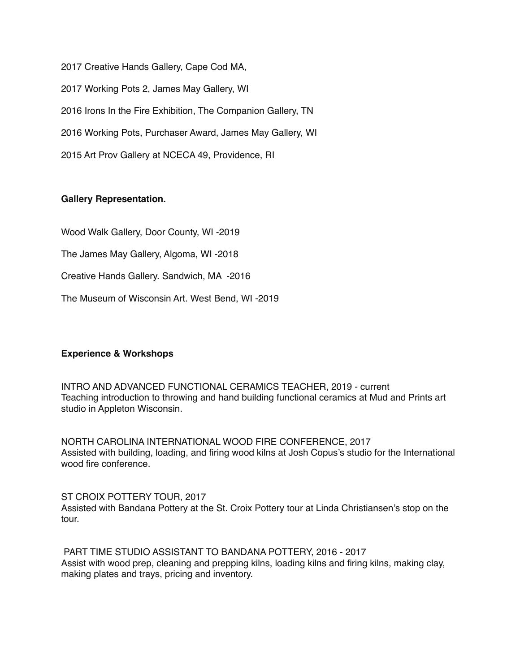2017 Creative Hands Gallery, Cape Cod MA, 2017 Working Pots 2, James May Gallery, WI 2016 Irons In the Fire Exhibition, The Companion Gallery, TN 2016 Working Pots, Purchaser Award, James May Gallery, WI 2015 Art Prov Gallery at NCECA 49, Providence, RI

### **Gallery Representation.**

Wood Walk Gallery, Door County, WI -2019

The James May Gallery, Algoma, WI -2018

Creative Hands Gallery. Sandwich, MA -2016

The Museum of Wisconsin Art. West Bend, WI -2019

## **Experience & Workshops**

INTRO AND ADVANCED FUNCTIONAL CERAMICS TEACHER, 2019 - current Teaching introduction to throwing and hand building functional ceramics at Mud and Prints art studio in Appleton Wisconsin.

NORTH CAROLINA INTERNATIONAL WOOD FIRE CONFERENCE, 2017 Assisted with building, loading, and firing wood kilns at Josh Copus's studio for the International wood fire conference.

ST CROIX POTTERY TOUR, 2017 Assisted with Bandana Pottery at the St. Croix Pottery tour at Linda Christiansen's stop on the tour.

 PART TIME STUDIO ASSISTANT TO BANDANA POTTERY, 2016 - 2017 Assist with wood prep, cleaning and prepping kilns, loading kilns and firing kilns, making clay, making plates and trays, pricing and inventory.